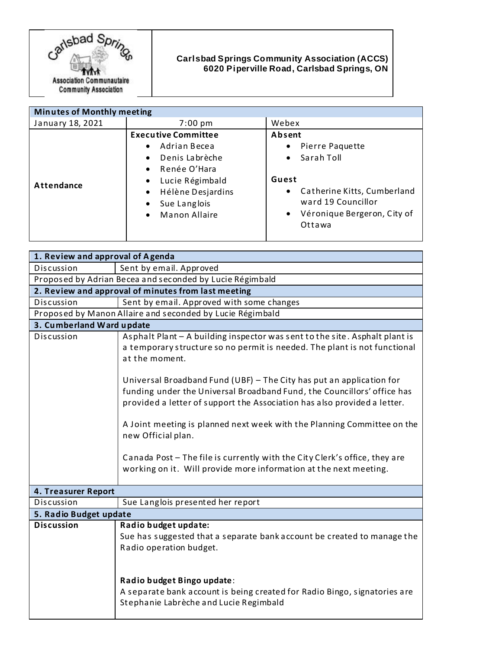

## **Carlsbad Springs Community Association (ACCS) 6020 Piperville Road, Carlsbad Springs, ON**

| <b>Minutes of Monthly meeting</b> |                                                                                                                                                                                                                                                 |                                                                                                                                                                                    |
|-----------------------------------|-------------------------------------------------------------------------------------------------------------------------------------------------------------------------------------------------------------------------------------------------|------------------------------------------------------------------------------------------------------------------------------------------------------------------------------------|
| January 18, 2021                  | $7:00~\text{pm}$                                                                                                                                                                                                                                | Webex                                                                                                                                                                              |
| <b>Attendance</b>                 | <b>Executive Committee</b><br>Adrian Becea<br>$\bullet$<br>Denis Labrèche<br>$\bullet$<br>Renée O'Hara<br>$\bullet$<br>Lucie Régimbald<br>$\bullet$<br>Hélène Desjardins<br>$\bullet$<br>Sue Langlois<br>٠<br><b>Manon Allaire</b><br>$\bullet$ | Absent<br>Pierre Paquette<br>٠<br>Sarah Toll<br>$\bullet$<br>Guest<br>Catherine Kitts, Cumberland<br>٠<br>ward 19 Councillor<br>Véronique Bergeron, City of<br>$\bullet$<br>Ottawa |

| 1. Review and approval of Agenda                          |                                                                                                                                                                                                                                                                                                                                                                                                                                                                                                                                                                                                                                                               |  |
|-----------------------------------------------------------|---------------------------------------------------------------------------------------------------------------------------------------------------------------------------------------------------------------------------------------------------------------------------------------------------------------------------------------------------------------------------------------------------------------------------------------------------------------------------------------------------------------------------------------------------------------------------------------------------------------------------------------------------------------|--|
| Discussion                                                | Sent by email. Approved                                                                                                                                                                                                                                                                                                                                                                                                                                                                                                                                                                                                                                       |  |
| Proposed by Adrian Becea and seconded by Lucie Régimbald  |                                                                                                                                                                                                                                                                                                                                                                                                                                                                                                                                                                                                                                                               |  |
| 2. Review and approval of minutes from last meeting       |                                                                                                                                                                                                                                                                                                                                                                                                                                                                                                                                                                                                                                                               |  |
| Discussion                                                | Sent by email. Approved with some changes                                                                                                                                                                                                                                                                                                                                                                                                                                                                                                                                                                                                                     |  |
| Proposed by Manon Allaire and seconded by Lucie Régimbald |                                                                                                                                                                                                                                                                                                                                                                                                                                                                                                                                                                                                                                                               |  |
| 3. Cumberland Ward update                                 |                                                                                                                                                                                                                                                                                                                                                                                                                                                                                                                                                                                                                                                               |  |
| Discussion                                                | Asphalt Plant - A building inspector was sent to the site. Asphalt plant is<br>a temporary structure so no permit is needed. The plant is not functional<br>at the moment.<br>Universal Broadband Fund (UBF) - The City has put an application for<br>funding under the Universal Broadband Fund, the Councillors' office has<br>provided a letter of support the Association has also provided a letter.<br>A Joint meeting is planned next week with the Planning Committee on the<br>new Official plan.<br>Canada Post - The file is currently with the City Clerk's office, they are<br>working on it. Will provide more information at the next meeting. |  |
|                                                           |                                                                                                                                                                                                                                                                                                                                                                                                                                                                                                                                                                                                                                                               |  |
| 4. Treasurer Report<br>Discussion                         | Sue Langlois presented her report                                                                                                                                                                                                                                                                                                                                                                                                                                                                                                                                                                                                                             |  |
|                                                           |                                                                                                                                                                                                                                                                                                                                                                                                                                                                                                                                                                                                                                                               |  |
| 5. Radio Budget update                                    |                                                                                                                                                                                                                                                                                                                                                                                                                                                                                                                                                                                                                                                               |  |
| <b>Discussion</b>                                         | Radio budget update:<br>Sue has suggested that a separate bank account be created to manage the<br>Radio operation budget.                                                                                                                                                                                                                                                                                                                                                                                                                                                                                                                                    |  |
|                                                           | Radio budget Bingo update:<br>A separate bank account is being created for Radio Bingo, signatories are<br>Stephanie Labrèche and Lucie Regimbald                                                                                                                                                                                                                                                                                                                                                                                                                                                                                                             |  |